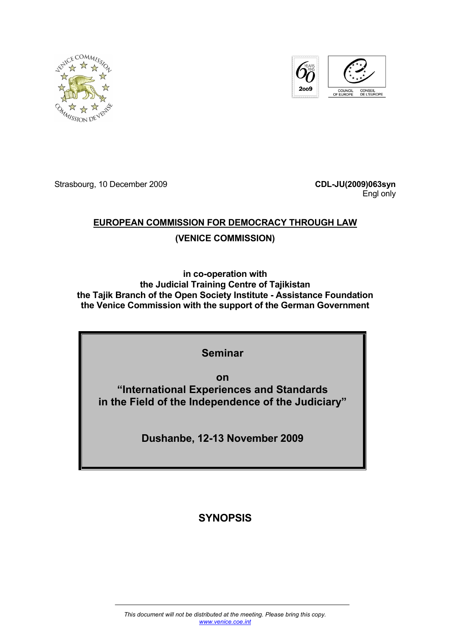



Strasbourg, 10 December 2009 **CDL-JU(2009)063syn**

Engl only

## **EUROPEAN COMMISSION FOR DEMOCRACY THROUGH LAW**

## **(VENICE COMMISSION)**

**in co-operation with the Judicial Training Centre of Tajikistan the Tajik Branch of the Open Society Institute - Assistance Foundation the Venice Commission with the support of the German Government** 

## **Seminar**

**on "International Experiences and Standards in the Field of the Independence of the Judiciary"** 

**Dushanbe, 12-13 November 2009** 

## **SYNOPSIS**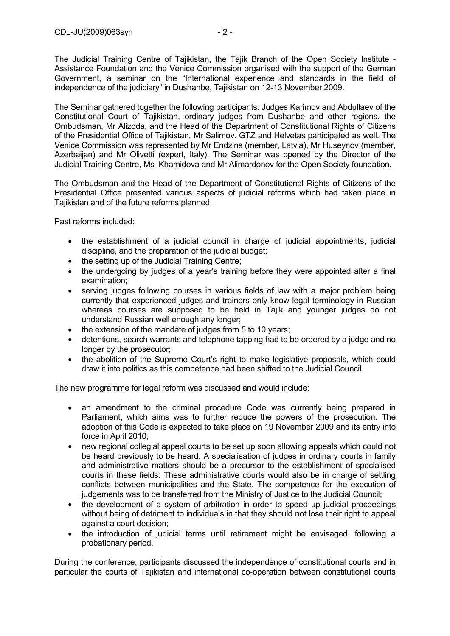The Judicial Training Centre of Tajikistan, the Tajik Branch of the Open Society Institute - Assistance Foundation and the Venice Commission organised with the support of the German Government, a seminar on the "International experience and standards in the field of independence of the judiciary" in Dushanbe, Tajikistan on 12-13 November 2009.

The Seminar gathered together the following participants: Judges Karimov and Abdullaev of the Constitutional Court of Tajikistan, ordinary judges from Dushanbe and other regions, the Ombudsman, Mr Alizoda, and the Head of the Department of Constitutional Rights of Citizens of the Presidential Office of Tajikistan, Mr Salimov. GTZ and Helvetas participated as well. The Venice Commission was represented by Mr Endzins (member, Latvia), Mr Huseynov (member, Azerbaijan) and Mr Olivetti (expert, Italy). The Seminar was opened by the Director of the Judicial Training Centre, Ms Khamidova and Mr Alimardonov for the Open Society foundation.

The Ombudsman and the Head of the Department of Constitutional Rights of Citizens of the Presidential Office presented various aspects of judicial reforms which had taken place in Tajikistan and of the future reforms planned.

Past reforms included:

- the establishment of a judicial council in charge of judicial appointments, judicial discipline, and the preparation of the judicial budget;
- the setting up of the Judicial Training Centre;
- the undergoing by judges of a year's training before they were appointed after a final examination;
- serving judges following courses in various fields of law with a major problem being currently that experienced judges and trainers only know legal terminology in Russian whereas courses are supposed to be held in Tajik and younger judges do not understand Russian well enough any longer;
- the extension of the mandate of judges from 5 to 10 years;
- detentions, search warrants and telephone tapping had to be ordered by a judge and no longer by the prosecutor;
- the abolition of the Supreme Court's right to make legislative proposals, which could draw it into politics as this competence had been shifted to the Judicial Council.

The new programme for legal reform was discussed and would include:

- an amendment to the criminal procedure Code was currently being prepared in Parliament, which aims was to further reduce the powers of the prosecution. The adoption of this Code is expected to take place on 19 November 2009 and its entry into force in April 2010;
- new regional collegial appeal courts to be set up soon allowing appeals which could not be heard previously to be heard. A specialisation of judges in ordinary courts in family and administrative matters should be a precursor to the establishment of specialised courts in these fields. These administrative courts would also be in charge of settling conflicts between municipalities and the State. The competence for the execution of judgements was to be transferred from the Ministry of Justice to the Judicial Council;
- the development of a system of arbitration in order to speed up judicial proceedings without being of detriment to individuals in that they should not lose their right to appeal against a court decision;
- the introduction of judicial terms until retirement might be envisaged, following a probationary period.

During the conference, participants discussed the independence of constitutional courts and in particular the courts of Tajikistan and international co-operation between constitutional courts